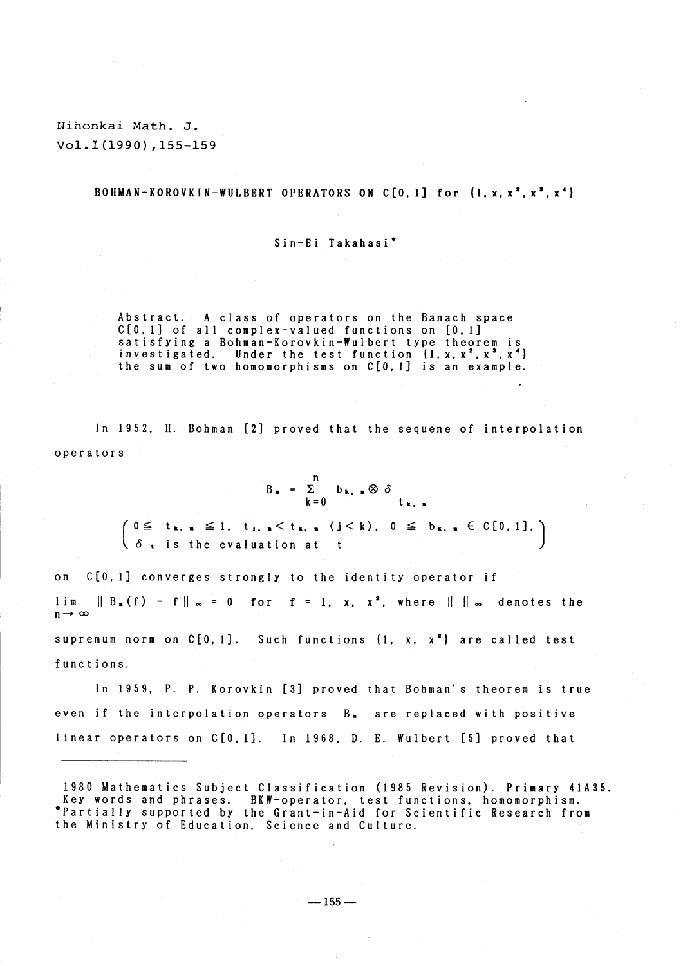Nihonkai Math. J. Vol. I (1990), 155-159

## BOHMAN-KOROVKIN-WULBERT OPERATORS ON C[0.1] for {1. x, x<sup>2</sup>. x<sup>2</sup>. x<sup>4</sup>}

## Sin-Ei Takahasi<sup>\*</sup>

Abstract. A class of operators on the Banach space<br>C[0,1] of all complex-valued functions on [0,1] satisfying a Bohman-Korovkin-Wulbert type theorem is<br>investigated. Under the test function {1, x, x<sup>2</sup>, x<sup>3</sup>, x<sup>4</sup>}<br>the sum of two homomorphisms on C[0, 1] is an example.

In 1952. H. Bohman [2] proved that the sequene of interpolation operators

$$
B_{\mathbf{a}} = \sum_{k=0}^{n} b_{k, \mathbf{a}} \otimes \delta
$$

 $\left(0 \leq t_{k,n} \leq 1, t_{1,n} < t_{k,n} (j < k), 0 \leq b_{k,n} \in C[0,1], \right)$  $\langle \delta_{i} \rangle$  is the evaluation at  $\overline{f}$ 

on C[0.1] converges strongly to the identity operator if  $lim$  $\|B_{n}(f) - f\|_{\infty} = 0$  for  $f = 1, x, x^{2}$ , where  $\| \cdot \|_{\infty}$  denotes the  $n \rightarrow \infty$ supremum norm on  $C[0, 1]$ . Such functions  $\{1, x, x^2\}$  are called test functions.

In 1959, P. P. Korovkin [3] proved that Bohman's theorem is true even if the interpolation operators B<sub>n</sub> are replaced with positive linear operators on C[0.1]. In 1968. D. E. Wulbert [5] proved that

<sup>1980</sup> Mathematics Subject Classification (1985 Revision). Primary 41A35. Key words and phrases. BKW-operator, test functions, homomorphism. \*Partially supported by the Grant-in-Aid for Scientific Research from the Ministry of Education. Science and Culture.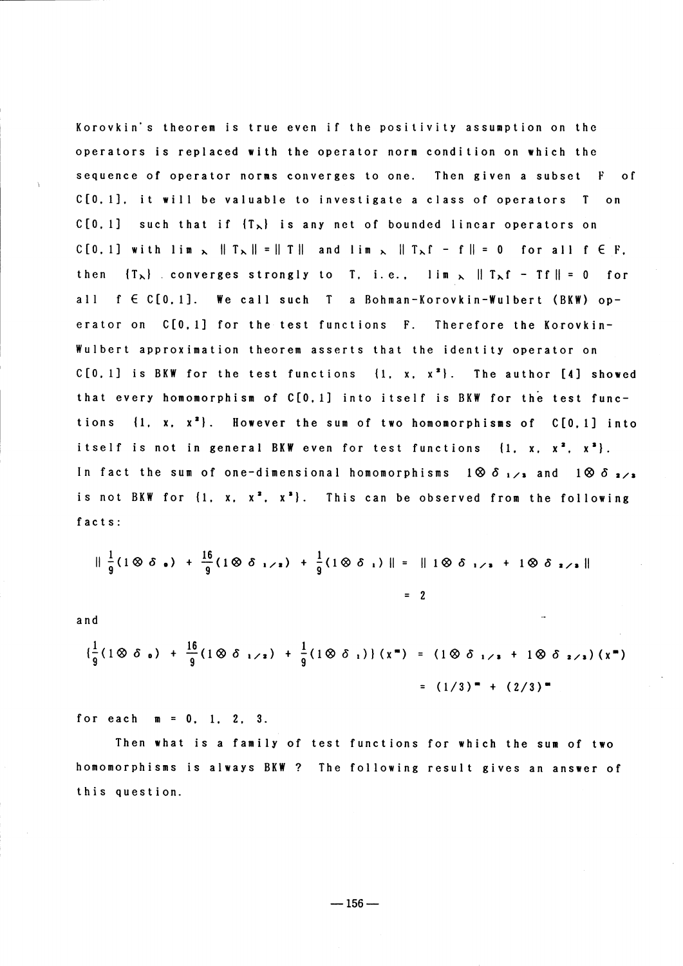Korovkin's theorem is true even if the positivity assumption on the operators is replaced with the operator norm condition on which the sequence of operator norms converges to one. Then given a subset F of  $C[0, 1]$ , it will be valuable to investigate a class of operators  $T$  on  $C[0, 1]$  such that if  $\{T_{\lambda}\}\$  is any net of bounded linear operators on  $C[0, 1]$  with  $\lim_{\lambda} \|T_{\lambda}\| = \|T\|$  and  $\lim_{\lambda} \|T_{\lambda}f - f\| = 0$  for all  $f \in F$ . then  ${T_{\lambda}}$  converges strongly to T, i.e.,  $\lim_{\lambda} \|T_{\lambda}f - Tf\| = 0$  for all f E C[0,1]. We call such T a Bohman-Korovkin-Wulbert (BKW) operator on C[0.1] for the test functions F. Therefore the Korovkin-Wulbert approximation theorem asserts that the identity operator on  $C[0, 1]$  is BKW for the test functions  $\{1, x, x^2\}$ . The author  $[4]$  showed that every homomorphism of C[0,1] into itself is BKW for the test functions  $\{1, x, x^2\}$ . However the sum of two homomorphisms of C[0.1] into itself is not in general BKW even for test functions  $\{1, x, x^2, x^3\}$ . In fact the sum of one-dimensional homomorphisms  $1\otimes \delta_{1/2}$  and  $1\otimes \delta_{2/2}$ is not BKW for  $\{1, x, x^2, x^3\}$ . This can be observed from the following facts:

$$
\|\frac{1}{9}(1\otimes \delta_{\bullet}) + \frac{16}{9}(1\otimes \delta_{1/2}) + \frac{1}{9}(1\otimes \delta_{1})\| = \|1\otimes \delta_{1/2} + 1\otimes \delta_{2/3}\|
$$
  
= ?

and

$$
\left(\frac{1}{9}(1\otimes \delta_{0}) + \frac{16}{9}(1\otimes \delta_{1/2}) + \frac{1}{9}(1\otimes \delta_{1})\right)(x^{2}) = (1\otimes \delta_{1/2} + 1\otimes \delta_{2/2})(x^{2})
$$
  
=  $(1/3)^{2} + (2/3)^{2}$ 

for each  $m = 0, 1, 2, 3$ .

Then what is a family of test functions for which the sum of two homomorphisms is always BKW ? The following result gives an answer of this question.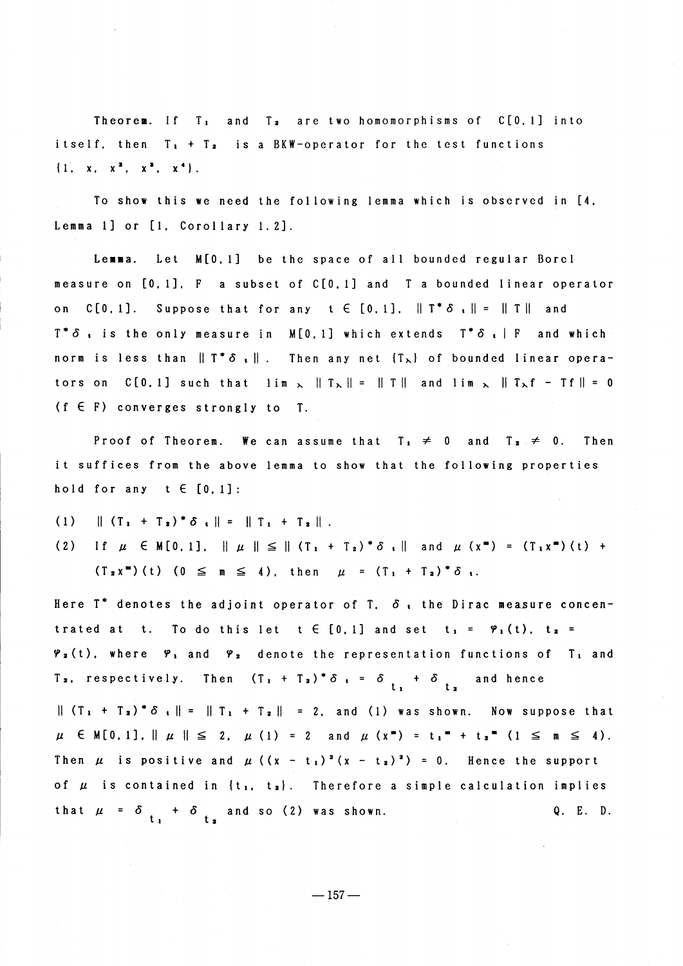Theorem. If  $T_1$  and  $T_2$  are two homomorphisms of  $C[0, 1]$  into itself, then  $T_1 + T_2$  is a BKW-operator for the test functions  $\{1, x, x^2, x^3, x^4\}.$ 

To show this we need the following lemma which is observed in [4, Lemma 1] or [1, Corollary 1.2].

Lemma. Let M[0,1] be the space of all bounded regular Borel measure on [0,1], F a subset of C[0,1] and T a bounded linear operator on  $C[0,1]$ . Suppose that for any  $t \in [0,1]$ ,  $||T^* \delta || = ||T||$  and  $T^* \delta$ , is the only measure in M[0.1] which extends  $T^* \delta$ , F and which norm is less than  $||T^*\delta_+||$ . Then any net  $|T_{\lambda}|$  of bounded linear operators on C[0, 1] such that  $\lim_{x \to 0} \|T_{\lambda}\| = \|T\|$  and  $\lim_{x \to 0} \|T_{\lambda}f - Tf\| = 0$  $(f \in F)$  converges strongly to T.

Proof of Theorem. We can assume that  $T_1 \neq 0$  and  $T_2 \neq 0$ . Then it suffices from the above lemma to show that the following properties hold for any  $t \in [0, 1]$ :

 $(1)$  $\| (T_1 + T_2)^* \delta_1 \| = \| T_1 + T_2 \|$ .

If  $\mu$   $\in$  M[0, 1],  $\|\mu\| \leq \| (T_1 + T_2)^* \delta \|$  and  $\mu$   $(x^*) = (T_1 x^*) (t) +$  $(2)$  $(T_2 x^m)$  (t)  $(0 \le m \le 4)$ , then  $\mu = (T_1 + T_2)^* \delta$ .

Here  $T^*$  denotes the adjoint operator of  $T$ ,  $\delta$ , the Dirac measure concentrated at t. To do this let  $t \in [0, 1]$  and set  $t_1 = \varphi_1(t)$ ,  $t_2 =$  $\varphi_2(t)$ , where  $\varphi_1$  and  $\varphi_2$  denote the representation functions of T<sub>1</sub> and Then  $(T_1 + T_2)^* \delta_t = \delta_t + \delta_t$  and hence T<sub>2</sub>, respectively.  $\| (T_1 + T_2)^* \delta_1 \| = \| T_1 + T_2 \| = 2$ , and (1) was shown. Now suppose that  $\mu \in M[0,1], || \mu || \leq 2, \mu (1) = 2$  and  $\mu (x^*) = t_1^* + t_2^* (1 \leq n \leq 4).$ Then  $\mu$  is positive and  $\mu$  ( $(x - t_1)^2(x - t_2)^2$ ) = 0. Hence the support of  $\mu$  is contained in  $\{t_1, t_2\}$ . Therefore a simple calculation implies that  $\mu = \delta_{t_1} + \delta_{t_2}$  and so (2) was shown.  $Q. E. D.$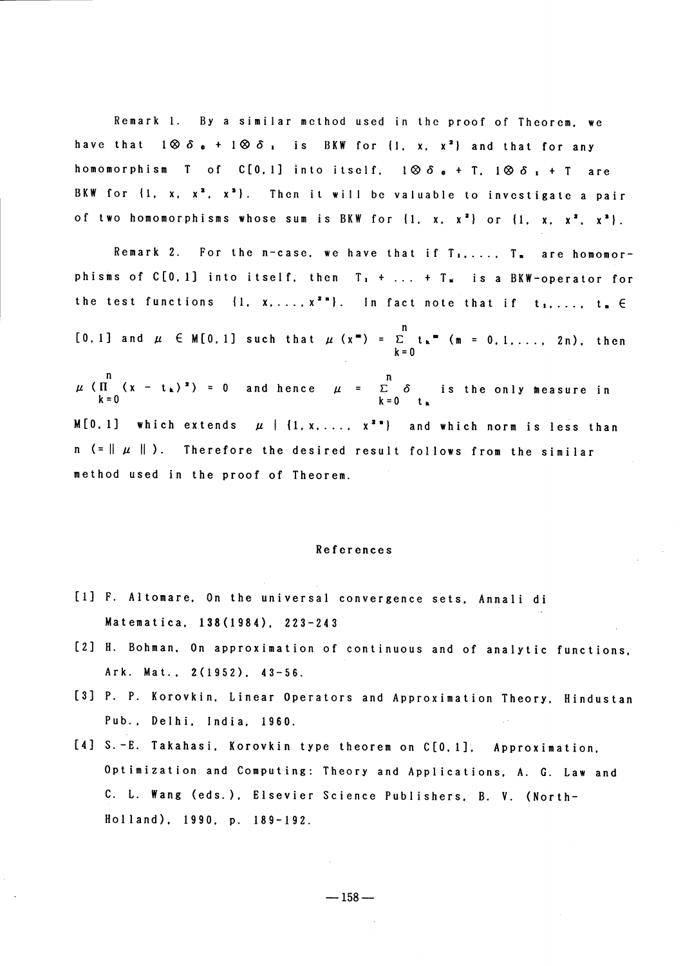Remark 1. By a similar method used in the proof of Theorem, we have that  $1 \otimes \delta_0 + 1 \otimes \delta_1$  is BKW for  $\{1, x, x^2\}$  and that for any homomorphism T of C[0,1] into itself.  $1 \otimes \delta_0 + T$ ,  $1 \otimes \delta_1 + T$  are BKW for  $\{1, x, x^2, x^3\}$ . Then it will be valuable to investigate a pair of two homomorphisms whose sum is BKW for  $\{1, x, x^2\}$  or  $\{1, x, x^2, x^3\}$ .

Remark 2. For the  $n$ -case, we have that if  $T_1, \ldots, T_n$  are homomorphisms of  $C[0, 1]$  into itself, then  $T_1 + \ldots + T_n$  is a BKW-operator for the test functions  $\{1, x, \ldots, x^{2n}\}$ . In fact note that if  $t_1, \ldots, t_n \in$ [0.1] and  $\mu \in M[0,1]$  such that  $\mu(x^*) = \sum_{k=0}^{n} t_k$  (m = 0.1...., 2n), then  $\mu$  ( $\prod_{k=0}^{n}$  (x - t<sub>k</sub>)<sup>2</sup>) = 0 and hence  $\mu$  =  $\sum_{k=0}^{n}$   $\delta$  is the only measure in M[0.1] which extends  $\mu$  | {1, x, ...,  $x^{2n}$ } and which norm is less than  $n$  (=  $\parallel \mu \parallel$ ). Therefore the desired result follows from the similar method used in the proof of Theorem.

## References

- [1] F. Altomare, On the universal convergence sets, Annali di Matematica, 138 (1984), 223-243
- [2] H. Bohman, On approximation of continuous and of analytic functions, Ark. Mat., 2(1952), 43-56.
- [3] P. P. Korovkin, Linear Operators and Approximation Theory, Hindustan Pub., Delhi, India, 1960.
- [4] S.-E. Takahasi, Korovkin type theorem on C[0,1], Approximation, Optimization and Computing: Theory and Applications, A. G. Law and C. L. Wang (eds.), Elsevier Science Publishers, B. V. (North-Holland), 1990, p. 189-192.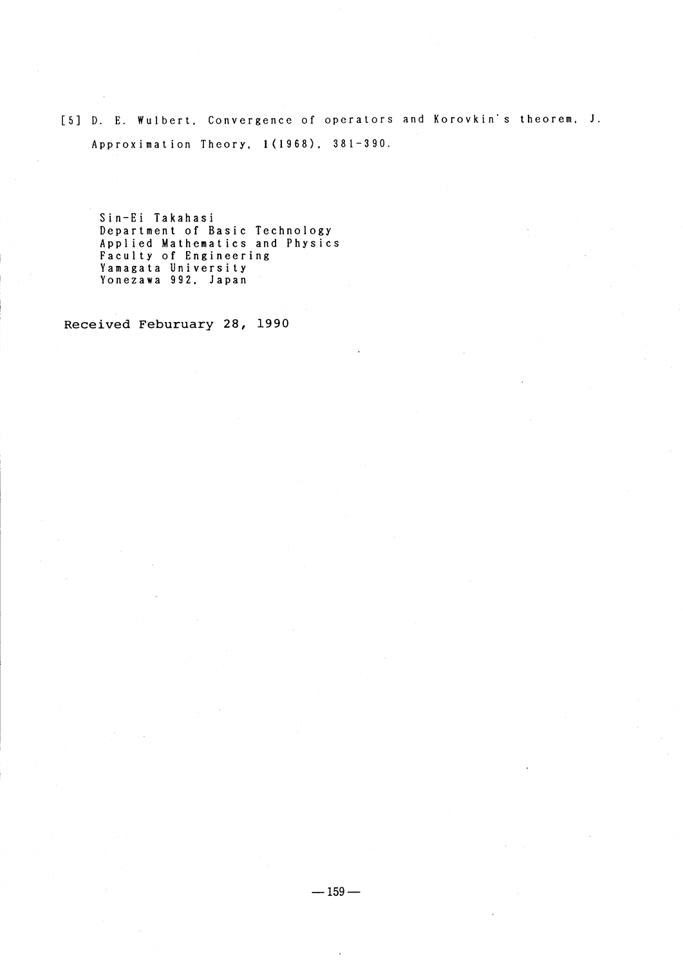[5] D. E. Wulbert, Convergence of operators and Korovkin's theorem. J. Approximation Theory, 1(1968), 381-390.

Sin-Ei Takahasi Department of Basic Technology<br>Applied Mathematics and Physics Faculty of Engineering Yamagata University<br>Yonezawa 992, Japan

Received Feburuary 28, 1990